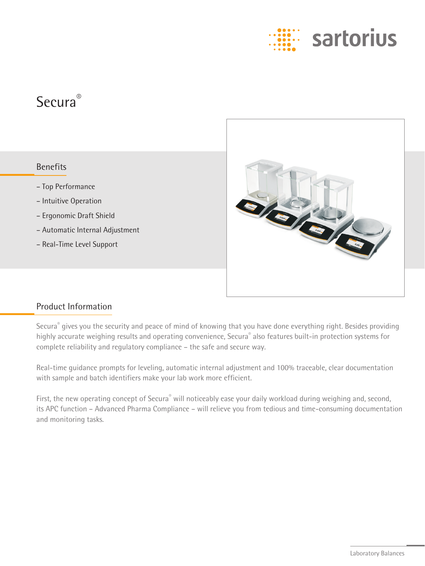

# Secura®

# Benefits

- Top Performance
- Intuitive Operation
- Ergonomic Draft Shield
- Automatic Internal Adjustment
- Real-Time Level Support



# Product Information

Secura® gives you the security and peace of mind of knowing that you have done everything right. Besides providing highly accurate weighing results and operating convenience, Secura® also features built-in protection systems for complete reliability and regulatory compliance – the safe and secure way.

Real-time guidance prompts for leveling, automatic internal adjustment and 100% traceable, clear documentation with sample and batch identifiers make your lab work more efficient.

First, the new operating concept of Secura® will noticeably ease your daily workload during weighing and, second, its APC function – Advanced Pharma Compliance – will relieve you from tedious and time-consuming documentation and monitoring tasks.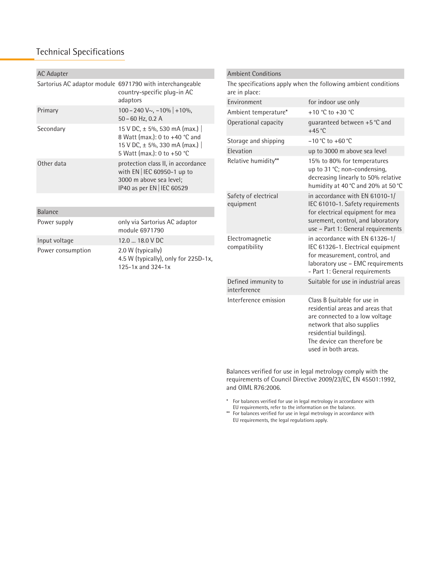# Technical Specifications

| <b>AC Adapter</b> |                                                                                                                            | <b>Ambient Conditions</b>                                                       |                                                                                                                                                             |  |  |  |  |  |
|-------------------|----------------------------------------------------------------------------------------------------------------------------|---------------------------------------------------------------------------------|-------------------------------------------------------------------------------------------------------------------------------------------------------------|--|--|--|--|--|
|                   | Sartorius AC adaptor module 6971790 with interchangeable<br>country-specific plug-in AC                                    | The specifications apply when the following ambient conditions<br>are in place: |                                                                                                                                                             |  |  |  |  |  |
|                   | adaptors                                                                                                                   | Environment                                                                     | for indoor use only                                                                                                                                         |  |  |  |  |  |
| Primary           | $100 - 240$ V $\sim$ , $-10\%$ + 10%,<br>50 - 60 Hz, 0.2 A                                                                 | Ambient temperature*                                                            | +10 °C to +30 °C                                                                                                                                            |  |  |  |  |  |
| Secondary         | 15 V DC, ± 5%, 530 mA (max.)                                                                                               | Operational capacity                                                            | quaranteed between +5 °C and<br>$+45$ °C                                                                                                                    |  |  |  |  |  |
|                   | 8 Watt (max.): 0 to +40 °C and<br>15 V DC, ± 5%, 330 mA (max.)                                                             | Storage and shipping                                                            | $-10$ °C to $+60$ °C                                                                                                                                        |  |  |  |  |  |
|                   | 5 Watt (max.): 0 to +50 °C                                                                                                 | Elevation                                                                       | up to 3000 m above sea level                                                                                                                                |  |  |  |  |  |
| Other data        | protection class II, in accordance<br>with EN   IEC 60950-1 up to<br>3000 m above sea level;<br>IP40 as per EN   IEC 60529 | Relative humidity**                                                             | 15% to 80% for temperatures<br>up to 31 °C; non-condensing,<br>decreasing linearly to 50% relative<br>humidity at 40 °C and 20% at 50 °C                    |  |  |  |  |  |
|                   |                                                                                                                            | Safety of electrical<br>equipment                                               | in accordance with EN 61010-1/<br>IEC 61010-1. Safety requirements                                                                                          |  |  |  |  |  |
| <b>Balance</b>    |                                                                                                                            |                                                                                 | for electrical equipment for mea                                                                                                                            |  |  |  |  |  |
| Power supply      | only via Sartorius AC adaptor<br>module 6971790                                                                            |                                                                                 | surement, control, and laboratory<br>use - Part 1: General requirements                                                                                     |  |  |  |  |  |
| Input voltage     | 12.0  18.0 V DC                                                                                                            | Electromagnetic                                                                 | in accordance with EN 61326-1/                                                                                                                              |  |  |  |  |  |
| Power consumption | 2.0 W (typically)<br>4.5 W (typically), only for 225D-1x,<br>125-1x and 324-1x                                             | compatibility                                                                   | IEC 61326-1. Electrical equipment<br>for measurement, control, and<br>laboratory use - EMC requirements<br>- Part 1: General requirements                   |  |  |  |  |  |
|                   |                                                                                                                            | Defined immunity to<br>interference                                             | Suitable for use in industrial areas                                                                                                                        |  |  |  |  |  |
|                   |                                                                                                                            | Interference emission                                                           | Class B (suitable for use in<br>residential areas and areas that<br>are connected to a low voltage<br>network that also supplies<br>residential buildings). |  |  |  |  |  |

Balances verified for use in legal metrology comply with the requirements of Council Directive 2009/23/EC, EN 45501:1992, and OIML R76:2006.

The device can therefore be

used in both areas.

\* For balances verified for use in legal metrology in accordance with EU requirements, refer to the information on the balance.

\*\* For balances verified for use in legal metrology in accordance with EU requirements, the legal regulations apply.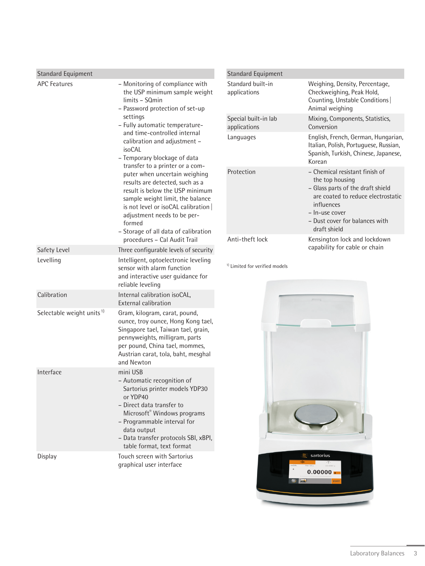| <b>Standard Equipment</b>             |                                                                                                                                                                                                                                                                                                                                                                                                                                                                                                                                                                                                                    |
|---------------------------------------|--------------------------------------------------------------------------------------------------------------------------------------------------------------------------------------------------------------------------------------------------------------------------------------------------------------------------------------------------------------------------------------------------------------------------------------------------------------------------------------------------------------------------------------------------------------------------------------------------------------------|
| <b>APC Features</b>                   | - Monitoring of compliance with<br>the USP minimum sample weight<br>limits - SQmin<br>- Password protection of set-up<br>settings<br>- Fully automatic temperature-<br>and time-controlled internal<br>calibration and adjustment -<br>isoCAL<br>- Temporary blockage of data<br>transfer to a printer or a com-<br>puter when uncertain weighing<br>results are detected, such as a<br>result is below the USP minimum<br>sample weight limit, the balance<br>is not level or isoCAL calibration<br>adjustment needs to be per-<br>formed<br>- Storage of all data of calibration<br>procedures - Cal Audit Trail |
| Safety Level                          | Three configurable levels of security                                                                                                                                                                                                                                                                                                                                                                                                                                                                                                                                                                              |
| Levelling                             | Intelligent, optoelectronic leveling<br>sensor with alarm function<br>and interactive user guidance for<br>reliable leveling                                                                                                                                                                                                                                                                                                                                                                                                                                                                                       |
| Calibration                           | Internal calibration isoCAL,<br><b>External calibration</b>                                                                                                                                                                                                                                                                                                                                                                                                                                                                                                                                                        |
| Selectable weight units <sup>1)</sup> | Gram, kilogram, carat, pound,<br>ounce, troy ounce, Hong Kong tael,<br>Singapore tael, Taiwan tael, grain,<br>pennyweights, milligram, parts<br>per pound, China tael, mommes,<br>Austrian carat, tola, baht, mesghal<br>and Newton                                                                                                                                                                                                                                                                                                                                                                                |
| Interface                             | mini USB<br>- Automatic recognition of<br>Sartorius printer models YDP30<br>or YDP40<br>- Direct data transfer to<br>Microsoft <sup>®</sup> Windows programs<br>- Programmable interval for<br>data output<br>- Data transfer protocols SBI, xBPI,<br>table format, text format                                                                                                                                                                                                                                                                                                                                    |
| Display                               | Touch screen with Sartorius<br>graphical user interface                                                                                                                                                                                                                                                                                                                                                                                                                                                                                                                                                            |

| <b>Standard Equipment</b>            |                                                                                                                                                                                                                |
|--------------------------------------|----------------------------------------------------------------------------------------------------------------------------------------------------------------------------------------------------------------|
| Standard built-in<br>applications    | Weighing, Density, Percentage,<br>Checkweighing, Peak Hold,<br>Counting, Unstable Conditions<br>Animal weighing                                                                                                |
| Special built-in lab<br>applications | Mixing, Components, Statistics,<br>Conversion                                                                                                                                                                  |
| Languages                            | English, French, German, Hungarian,<br>Italian, Polish, Portuguese, Russian,<br>Spanish, Turkish, Chinese, Japanese,<br>Korean                                                                                 |
| Protection                           | - Chemical resistant finish of<br>the top housing<br>- Glass parts of the draft shield<br>are coated to reduce electrostatic<br>influences<br>- In-use cover<br>- Dust cover for balances with<br>draft shield |
| Anti-theft lock                      | Kensington lock and lockdown<br>capability for cable or chain                                                                                                                                                  |

<sup>1)</sup> Limited for verified models

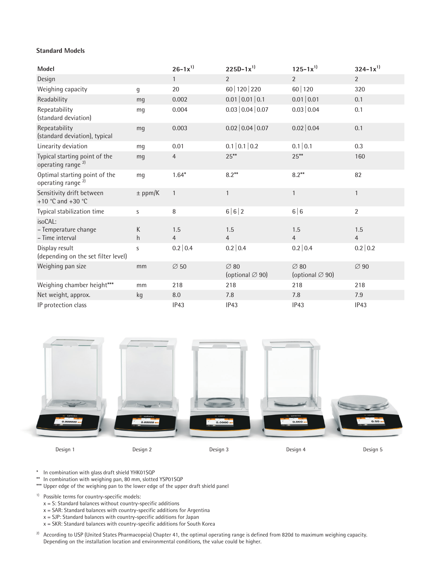#### **Standard Models**

| Model                                                          |               | $26 - 1x^{1}$         | $225D-1x^{1}$                                   | $125 - 1x^{1}$                                  | $324 - 1x^{1}$        |
|----------------------------------------------------------------|---------------|-----------------------|-------------------------------------------------|-------------------------------------------------|-----------------------|
| Design                                                         |               | $\mathbf{1}$          | $\overline{2}$                                  | $\overline{2}$                                  | $\overline{2}$        |
| Weighing capacity                                              | $\mathfrak g$ | 20                    | 60   120   220                                  | 60 120                                          | 320                   |
| Readability                                                    | mq            | 0.002                 | 0.01   0.01   0.1                               | 0.01   0.01                                     | 0.1                   |
| Repeatability<br>(standard deviation)                          | mq            | 0.004                 | 0.03   0.04   0.07                              | 0.03   0.04                                     | 0.1                   |
| Repeatability<br>(standard deviation), typical                 | mq            | 0.003                 | 0.02   0.04   0.07                              | 0.02   0.04                                     | 0.1                   |
| Linearity deviation                                            | mq            | 0.01                  | 0.1   0.1   0.2                                 | 0.1   0.1                                       | 0.3                   |
| Typical starting point of the<br>operating range <sup>2)</sup> | mq            | 4                     | $25***$                                         | $25***$                                         | 160                   |
| Optimal starting point of the<br>operating range <sup>2)</sup> | mq            | $1.64*$               | $8.2***$                                        | $8.2***$                                        | 82                    |
| Sensitivity drift between<br>+10 °C and +30 °C                 | $±$ ppm/K     | $\mathbf{1}$          | $\mathbf{1}$                                    | $\mathbf{1}$                                    | $\mathbf{1}$          |
| Typical stabilization time                                     | S             | 8                     | 6 6 2                                           | 6 6                                             | $\overline{2}$        |
| isoCAL:<br>- Temperature change<br>- Time interval             | K<br>h        | 1.5<br>$\overline{4}$ | 1.5<br>$\overline{4}$                           | 1.5<br>4                                        | 1.5<br>$\overline{4}$ |
| Display result<br>(depending on the set filter level)          | S             | 0.2   0.4             | 0.2   0.4                                       | 0.2   0.4                                       | 0.2   0.2             |
| Weighing pan size                                              | mm            | $\varnothing$ 50      | $\varnothing$ 80<br>(optional $\varnothing$ 90) | $\varnothing$ 80<br>(optional $\varnothing$ 90) | $\varnothing$ 90      |
| Weighing chamber height***                                     | mm            | 218                   | 218                                             | 218                                             | 218                   |
| Net weight, approx.                                            | kg            | 8.0                   | 7.8                                             | 7.8                                             | 7.9                   |
| IP protection class                                            |               | IP43                  | IP43                                            | IP43                                            | IP43                  |



\* In combination with glass draft shield YHK01SQP

\*\* In combination with weighing pan, 80 mm, slotted YSP01SQP

\*\*\* Upper edge of the weighing pan to the lower edge of the upper draft shield panel

<sup>1)</sup> Possible terms for country-specific models:

- $x = S$ : Standard balances without country-specific additions
- $x = SAR$ : Standard balances with country-specific additions for Argentina
- x = SJP: Standard balances with country-specific additions for Japan
- $x = SKR$ : Standard balances with country-specific additions for South Korea
- <sup>2)</sup> According to USP (United States Pharmacopeia) Chapter 41, the optimal operating range is defined from 820d to maximum weighing capacity. Depending on the installation location and environmental conditions, the value could be higher.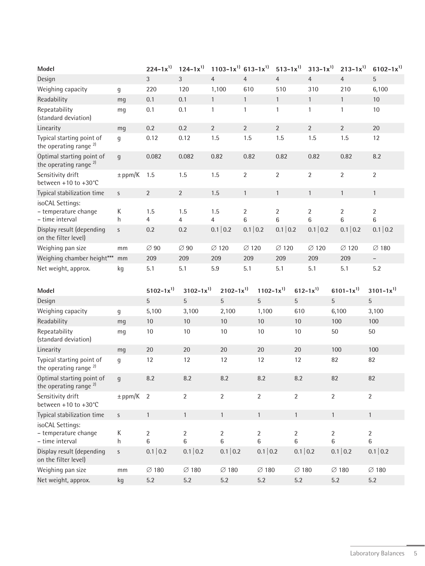| Model                                                          |                  | $224 - 1x^{1}$    | $124 - 1x^{1}$        | $1103 - 1x^{1}$ 613-1x <sup>1</sup> |                     |                      | $513 - 1x^{1}$      | $313 - 1x^{1}$      | $213 - 1x^{1}$      | $6102 - 1x^{1}$                  |
|----------------------------------------------------------------|------------------|-------------------|-----------------------|-------------------------------------|---------------------|----------------------|---------------------|---------------------|---------------------|----------------------------------|
| Design                                                         |                  | $\mathfrak{Z}$    | $\mathfrak{Z}$        | $\overline{4}$                      | $\overline{4}$      | $\overline{4}$       |                     | $\overline{4}$      | $\overline{4}$      | 5                                |
| Weighing capacity                                              | g                | 220               | 120                   | 1,100                               | 610                 | 510                  |                     | 310                 | 210                 | 6,100                            |
| Readability                                                    | mg               | 0.1               | 0.1                   | $\mathbf{1}$                        | $\mathbf{1}$        | $\mathbf{1}$         |                     | $\mathbf{1}$        | $\mathbf{1}$        | $10\,$                           |
| Repeatability<br>(standard deviation)                          | mg               | 0.1               | 0.1                   | 1                                   | $\mathbf{1}$        | $\mathbf{1}$         |                     | 1                   | 1                   | 10                               |
| Linearity                                                      | mg               | 0.2               | 0.2                   | $\overline{2}$                      | $\overline{2}$      | $\overline{2}$       |                     | $\overline{2}$      | $\overline{2}$      | 20                               |
| Typical starting point of<br>the operating range $^{2}$        | g                | 0.12              | 0.12                  | 1.5                                 | 1.5                 | 1.5                  |                     | 1.5                 | 1.5                 | 12                               |
| Optimal starting point of<br>the operating range <sup>2)</sup> | $\boldsymbol{g}$ | 0.082             | 0.082                 | 0.82                                | 0.82                | 0.82                 |                     | 0.82                | 0.82                | 8.2                              |
| Sensitivity drift<br>between $+10$ to $+30^{\circ}$ C          | $\pm$ ppm/K      | 1.5               | 1.5                   | 1.5                                 | $\overline{2}$      | $\overline{2}$       |                     | $\overline{2}$      | $\overline{2}$      | $\overline{2}$                   |
| Typical stabilization time                                     | $\mathsf{S}$     | $\overline{2}$    | $\overline{2}$        | 1.5                                 | $\mathbf{1}$        | $\mathbf{1}$         |                     | $\mathbf{1}$        | $\mathbf{1}$        | $\mathbf{1}$                     |
| isoCAL Settings:<br>- temperature change<br>- time interval    | К<br>h           | 1.5<br>4          | 1.5<br>$\overline{4}$ | 1.5<br>$\overline{4}$               | $\overline{2}$<br>6 | 2<br>$6\phantom{.}6$ |                     | $\overline{2}$<br>6 | $\overline{2}$<br>6 | $\overline{2}$<br>$\,6$          |
| Display result (depending<br>on the filter level)              | S                | 0.2               | 0.2                   | 0.1   0.2                           | 0.1   0.2           |                      | 0.1   0.2           | 0.1   0.2           | 0.1   0.2           | 0.1   0.2                        |
| Weighing pan size                                              | mm               | $\varnothing$ 90  | $\varnothing$ 90      | $\varnothing$ 120                   | $\varnothing$ 120   |                      | $\varnothing$ 120   | $\varnothing$ 120   | $\varnothing$ 120   | $\varnothing$ 180                |
| Weighing chamber height***                                     | mm               | 209               | 209                   | 209                                 | 209                 | 209                  |                     | 209                 | 209                 | $\overline{\phantom{0}}$         |
| Net weight, approx.                                            | kg               | 5.1               | 5.1                   | 5.9                                 | 5.1                 | 5.1                  |                     | 5.1                 | 5.1                 | 5.2                              |
| Model                                                          |                  | $5102 - 1x^{1}$   | $3102 - 1x^{1}$       | $2102 - 1x^{1}$                     |                     | $1102 - 1x^{1}$      |                     | $612 - 1x^{1}$      | $6101 - 1x^{1}$     | $3101 - 1x^{1}$                  |
| Design                                                         |                  | 5                 | 5                     | 5                                   | $\overline{5}$      |                      | 5                   |                     | $\overline{5}$      | 5                                |
| Weighing capacity                                              | g                | 5,100             | 3,100                 | 2,100                               |                     | 1,100                | 610                 |                     | 6,100               | 3,100                            |
| Readability                                                    | mg               | $10\,$            | 10                    | 10                                  | 10                  |                      | 10                  |                     | 100                 | 100                              |
| Repeatability<br>(standard deviation)                          | mg               | 10                | $10\,$                | $10\,$                              | 10                  |                      | 10                  |                     | 50                  | $50\,$                           |
| Linearity                                                      | mg               | 20                | 20                    | 20                                  | 20                  |                      | 20                  |                     | 100                 | 100                              |
| Typical starting point of<br>the operating range <sup>2)</sup> | g                | 12                | 12                    | 12                                  | 12                  |                      | 12                  |                     | 82                  | 82                               |
| Optimal starting point of<br>the operating range <sup>2)</sup> | q                | 8.2               | 8.2                   | 8.2                                 | 8.2                 |                      | 8.2                 |                     | 82                  | 82                               |
| Sensitivity drift<br>between +10 to +30°C                      | $\pm$ ppm/K 2    |                   | $\overline{2}$        | $\overline{2}$                      | $\overline{2}$      |                      | $\overline{2}$      |                     | $\overline{2}$      | $\overline{2}$                   |
| Typical stabilization time                                     | $\mathsf{S}$     | $\mathbf{1}$      | $\mathbf{1}$          | $\mathbf{1}$                        | $\mathbf{1}$        |                      | $\mathbf{1}$        |                     | $\mathbf{1}$        | $\mathbf{1}$                     |
| isoCAL Settings:<br>- temperature change<br>- time interval    | К<br>h           | 2<br>6            | $\overline{2}$<br>6   | $\overline{2}$<br>6                 | $\overline{2}$<br>6 |                      | $\overline{2}$<br>6 |                     | $\overline{2}$<br>6 | $\overline{2}$<br>$6\phantom{.}$ |
| Display result (depending<br>on the filter level)              | S                | 0.1   0.2         | 0.1   0.2             | 0.1   0.2                           |                     | 0.1   0.2            | 0.1   0.2           |                     | 0.1   0.2           | 0.1   0.2                        |
| Weighing pan size                                              | mm               | $\varnothing$ 180 | $\varnothing$ 180     | $\varnothing$ 180                   |                     | $\varnothing$ 180    | $\varnothing$ 180   |                     | $\varnothing$ 180   | $\varnothing$ 180                |
| Net weight, approx.                                            | kg               | 5.2               | $5.2\,$               | $5.2\,$                             | $5.2\,$             |                      | $5.2\,$             |                     | $5.2\,$             | $5.2\,$                          |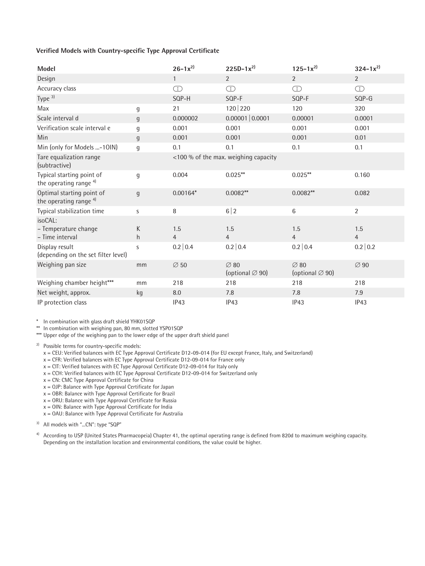#### **Verified Models with Country-specific Type Approval Certificate**

| <b>Model</b>                                                   |                | $26 - 1x^{2}$         | $225D-1x^{2}$                                   | $125 - 1x^{2}$                                  | $324 - 1x^{2}$                        |
|----------------------------------------------------------------|----------------|-----------------------|-------------------------------------------------|-------------------------------------------------|---------------------------------------|
| Design                                                         |                | $\mathbf{1}$          | 2                                               | $\overline{2}$                                  | $\overline{2}$                        |
| Accuracy class                                                 |                | $\bigcirc$            | $\bigcirc$                                      | $\bigcirc$                                      | $\begin{array}{c}\n\Box\n\end{array}$ |
| Type $3$                                                       |                | SQP-H                 | SQP-F                                           | SQP-F                                           | $SOP-G$                               |
| Max                                                            | g              | 21                    | 120 220                                         | 120                                             | 320                                   |
| Scale interval d                                               | g              | 0.000002              | 0.00001   0.0001                                | 0.00001                                         | 0.0001                                |
| Verification scale interval e                                  | g              | 0.001                 | 0.001                                           | 0.001                                           | 0.001                                 |
| Min                                                            | $\mathfrak{g}$ | 0.001                 | 0.001                                           | 0.001                                           | 0.01                                  |
| Min (only for Models -10IN)                                    | $\mathsf g$    | 0.1                   | 0.1                                             | 0.1                                             | 0.1                                   |
| Tare equalization range<br>(subtractive)                       |                |                       | <100 % of the max. weighing capacity            |                                                 |                                       |
| Typical starting point of<br>the operating range <sup>4)</sup> | g              | 0.004                 | $0.025***$                                      | $0.025***$                                      | 0.160                                 |
| Optimal starting point of<br>the operating range $4$           | g              | $0.00164*$            | $0.0082**$                                      | $0.0082**$                                      | 0.082                                 |
| Typical stabilization time                                     | S              | 8                     | 6 2                                             | 6                                               | $\overline{2}$                        |
| isoCAL:<br>- Temperature change<br>- Time interval             | K<br>h         | 1.5<br>$\overline{4}$ | 1.5<br>$\overline{4}$                           | 1.5<br>$\overline{4}$                           | 1.5<br>$\overline{4}$                 |
| Display result<br>(depending on the set filter level)          | S              | 0.2   0.4             | 0.2   0.4                                       | 0.2   0.4                                       | 0.2   0.2                             |
| Weighing pan size                                              | mm             | $\varnothing$ 50      | $\varnothing$ 80<br>(optional $\varnothing$ 90) | $\varnothing$ 80<br>(optional $\varnothing$ 90) | $\varnothing$ 90                      |
| Weighing chamber height***                                     | mm             | 218                   | 218                                             | 218                                             | 218                                   |
| Net weight, approx.                                            | kg             | 8.0                   | 7.8                                             | 7.8                                             | 7.9                                   |
| IP protection class                                            |                | IP43                  | IP43                                            | IP43                                            | IP43                                  |

\* In combination with glass draft shield YHK01SQP

\*\* In combination with weighing pan, 80 mm, slotted YSP01SQP

\*\*\* Upper edge of the weighing pan to the lower edge of the upper draft shield panel

<sup>2)</sup> Possible terms for country-specific models:

x = CEU: Verified balances with EC Type Approval Certificate D12-09-014 (for EU except France, Italy, and Switzerland)

 $x = CFR$ : Verified balances with EC Type Approval Certificate D12-09-014 for France only

x = CIT: Verified balances with EC Type Approval Certificate D12-09-014 for Italy only

x = CCH: Verified balances with EC Type Approval Certificate D12-09-014 for Switzerland only

 $x = CN$ : CMC Type Approval Certificate for China

 $x =$  OJP: Balance with Type Approval Certificate for Japan

x = OBR: Balance with Type Approval Certificate for Brazil

x = ORU: Balance with Type Approval Certificate for Russia

x = OIN: Balance with Type Approval Certificate for India

 $x = OAU$ : Balance with Type Approval Certificate for Australia

<sup>3)</sup> All models with "...CN": type "SQP"

<sup>4)</sup> According to USP (United States Pharmacopeia) Chapter 41, the optimal operating range is defined from 820d to maximum weighing capacity. Depending on the installation location and environmental conditions, the value could be higher.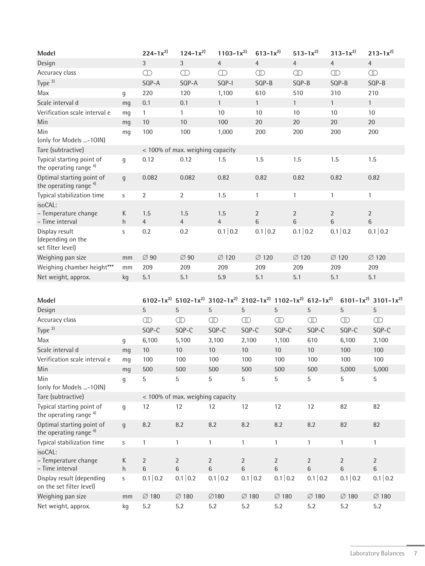| Model                                                          |                | $224 - 1x^{2}$                   | $124 - 1x^{2}$                   | $1103 - 1x^{2}$                                                                          |                         | $613 - 1x^{2}$                  |                                 |                                | $513 - 1x^{2}$                   |                                | $313 - 1x^{2}$                 | $213 - 1x^{2}$                  |
|----------------------------------------------------------------|----------------|----------------------------------|----------------------------------|------------------------------------------------------------------------------------------|-------------------------|---------------------------------|---------------------------------|--------------------------------|----------------------------------|--------------------------------|--------------------------------|---------------------------------|
| Design                                                         |                | $\mathfrak{Z}$                   | $\mathfrak{Z}$                   | $\overline{4}$                                                                           |                         | $\overline{4}$                  |                                 | $\overline{4}$                 |                                  | $\overline{4}$                 |                                | $\overline{4}$                  |
| Accuracy class                                                 |                | $\bigcirc$                       | $\bigcirc$                       | $\bigcirc$                                                                               |                         | $\textcircled{\scriptsize{II}}$ |                                 | $\textcircled{\scriptsize{I}}$ |                                  | $\textcircled{\scriptsize{I}}$ |                                | $\textcircled{\scriptsize{I}}$  |
| Type $3$                                                       |                | SQP-A                            | SQP-A                            | SQP-I                                                                                    |                         | SQP-B                           |                                 | SQP-B                          |                                  |                                | SQP-B                          | SQP-B                           |
| Max                                                            | g              | 220                              | 120                              | 1,100                                                                                    |                         | 610                             |                                 | 510                            |                                  | 310                            |                                | 210                             |
| Scale interval d                                               | mg             | 0.1                              | 0.1                              | $\mathbf{1}$                                                                             |                         | $\mathbf{1}$                    |                                 | $\mathbf{1}$                   |                                  | $\mathbf{1}$                   |                                | $\mathbf{1}$                    |
| Verification scale interval e                                  | mg             | $\mathbf{1}$                     | $\mathbf{1}$                     | 10                                                                                       |                         | 10                              |                                 | 10                             |                                  | 10                             |                                | 10                              |
| Min                                                            | mq             | 10                               | 10                               | 100                                                                                      |                         | 20                              |                                 | 20                             |                                  | 20                             |                                | 20                              |
| Min                                                            | mg             | 100                              | 100                              | 1,000                                                                                    |                         | 200                             |                                 | 200                            |                                  | 200                            |                                | 200                             |
| (only for Models -10IN)                                        |                |                                  |                                  |                                                                                          |                         |                                 |                                 |                                |                                  |                                |                                |                                 |
| Tare (subtractive)                                             |                | < 100% of max. weighing capacity |                                  |                                                                                          |                         |                                 |                                 |                                |                                  |                                |                                |                                 |
| Typical starting point of<br>the operating range <sup>4)</sup> | $\mathfrak g$  | 0.12                             | 0.12                             | 1.5                                                                                      |                         | 1.5                             |                                 | 1.5                            |                                  | 1.5                            |                                | 1.5                             |
| Optimal starting point of<br>the operating range <sup>4)</sup> | $\mathfrak{g}$ | 0.082                            | 0.082                            | 0.82                                                                                     |                         | 0.82                            |                                 | 0.82                           |                                  | 0.82                           |                                | 0.82                            |
| Typical stabilization time                                     | S              | $\overline{2}$                   | $\overline{2}$                   | 1.5                                                                                      |                         | $\mathbf{1}$                    |                                 | $\mathbf{1}$                   |                                  | 1                              |                                | $\mathbf{1}$                    |
| isoCAL:                                                        |                |                                  |                                  |                                                                                          |                         |                                 |                                 |                                |                                  |                                |                                |                                 |
| - Temperature change                                           | К              | 1.5                              | 1.5                              | 1.5                                                                                      |                         | $\overline{2}$                  |                                 | $\sqrt{2}$                     |                                  | $\overline{2}$                 |                                | $\sqrt{2}$                      |
| - Time interval                                                | h              | $\overline{4}$                   | 4                                | $\overline{4}$                                                                           |                         | 6                               |                                 | $\,6\,$                        |                                  | $\,6$                          |                                | $\,6\,$                         |
| Display result<br>(depending on the<br>set filter level)       | S              | 0.2                              | 0.2                              | 0.1   0.2                                                                                |                         | 0.1   0.2                       |                                 | 0.1   0.2                      |                                  |                                | 0.1   0.2                      | 0.1   0.2                       |
| Weighing pan size                                              | mm             | $\varnothing$ 90                 | $\varnothing$ 90                 | $\varnothing$ 120                                                                        |                         | $\varnothing$ 120               |                                 | $\varnothing$ 120              |                                  |                                | $\varnothing$ 120              | $\varnothing$ 120               |
| Weighing chamber height***                                     | mm             | 209                              | 209                              | 209                                                                                      |                         | 209                             |                                 | 209                            |                                  | 209                            |                                | 209                             |
| Net weight, approx.                                            | kg             | 5.1                              | 5.1                              | 5.9                                                                                      |                         | 5.1                             |                                 | 5.1                            |                                  | 5.1                            |                                | 5.1                             |
|                                                                |                |                                  |                                  |                                                                                          |                         |                                 |                                 |                                |                                  |                                |                                |                                 |
| Model                                                          |                |                                  |                                  | 6102-1 $x^{2}$ 5102-1 $x^{2}$ 3102-1 $x^{2}$ 2102-1 $x^{2}$ 1102-1 $x^{2}$ 612-1 $x^{2}$ |                         |                                 |                                 |                                |                                  |                                |                                | 6101-1 $x^{2}$ 3101-1 $x^{2}$   |
| Design                                                         |                | 5                                | 5                                | 5                                                                                        | 5                       |                                 | $\sqrt{5}$                      |                                | 5                                |                                | 5                              | $\overline{5}$                  |
| Accuracy class                                                 |                | $\textcircled{\scriptsize{I}}$   | $\textcircled{\scriptsize{I}}$   | $\textcircled{\scriptsize{I}}$                                                           | $\circled{1}$           |                                 | $\textcircled{\scriptsize{II}}$ |                                | $\textcircled{\scriptsize{1}}$   |                                | $\textcircled{\scriptsize{I}}$ | $\textcircled{\scriptsize{II}}$ |
| Type $3$                                                       |                | SQP-C                            | SQP-C                            | SQP-C                                                                                    | SQP-C                   |                                 | SQP-C                           |                                | SQP-C                            |                                | SQP-C                          | SQP-C                           |
| Max                                                            | g              | 6,100                            | 5,100                            | 3,100                                                                                    | 2,100                   |                                 | 1,100                           |                                | 610                              |                                | 6,100                          | 3,100                           |
| Scale interval d                                               | mg             | $10\,$                           | $10\,$                           | 10                                                                                       | $10\,$                  |                                 | $10\,$                          |                                | 10                               |                                | 100                            | 100                             |
| Verification scale interval e                                  | mg             | 100                              | 100                              | 100                                                                                      | 100                     |                                 | 100                             |                                | 100                              |                                | 100                            | 100                             |
| Min                                                            | mg             | 500                              | 500                              | 500                                                                                      | 500                     |                                 | 500                             |                                | 500                              |                                | 5,000                          | 5,000                           |
| Min<br>(only for Models -10IN)                                 | g              | 5                                | 5                                | 5                                                                                        | 5                       |                                 | 5                               |                                | 5                                |                                | 5                              | 5                               |
| Tare (subtractive)                                             |                |                                  | < 100% of max. weighing capacity |                                                                                          |                         |                                 |                                 |                                |                                  |                                |                                |                                 |
| Typical starting point of<br>the operating range <sup>4)</sup> | $\mathfrak g$  | 12                               | 12                               | 12                                                                                       | 12                      |                                 | 12                              |                                | 12                               |                                | 82                             | 82                              |
| Optimal starting point of<br>the operating range <sup>4)</sup> | $\mathfrak{g}$ | 8.2                              | 8.2                              | 8.2                                                                                      | 8.2                     |                                 | 8.2                             |                                | 8.2                              |                                | 82                             | 82                              |
| Typical stabilization time                                     | S              | $\mathbf{1}$                     | 1                                | $\mathbf{1}$                                                                             | $\mathbf{1}$            |                                 | $\mathbf{1}$                    |                                | 1                                |                                | $\mathbf{1}$                   | $\mathbf{1}$                    |
| isoCAL:                                                        |                |                                  |                                  |                                                                                          |                         |                                 |                                 |                                |                                  |                                |                                |                                 |
| - Temperature change<br>- Time interval                        | К<br>h         | $\overline{2}$<br>$6\,$          | $\overline{2}$<br>$\,6\,$        | $\overline{2}$<br>$6\phantom{a}$                                                         | $\overline{2}$<br>$6\,$ |                                 | $\overline{2}$<br>$\,6$         |                                | $\overline{2}$<br>$6\phantom{a}$ |                                | $\overline{2}$<br>6            | $\overline{2}$<br>$\,6\,$       |
| Display result (depending<br>on the set filter level)          | S              | 0.1   0.2                        | 0.1   0.2                        | 0.1   0.2                                                                                | 0.1   0.2               |                                 | 0.1   0.2                       |                                | 0.1   0.2                        |                                | 0.1   0.2                      | 0.1   0.2                       |
| Weighing pan size                                              | mm             | $\varnothing$ 180                | $\varnothing$ 180                | $\varnothing$ 180                                                                        | $\varnothing$ 180       |                                 | $\varnothing$ 180               |                                | $\varnothing$ 180                |                                | $\varnothing$ 180              | $\varnothing$ 180               |
| Net weight, approx.                                            | kg             | 5.2                              | 5.2                              | 5.2                                                                                      | 5.2                     |                                 | 5.2                             |                                | 5.2                              |                                | 5.2                            | 5.2                             |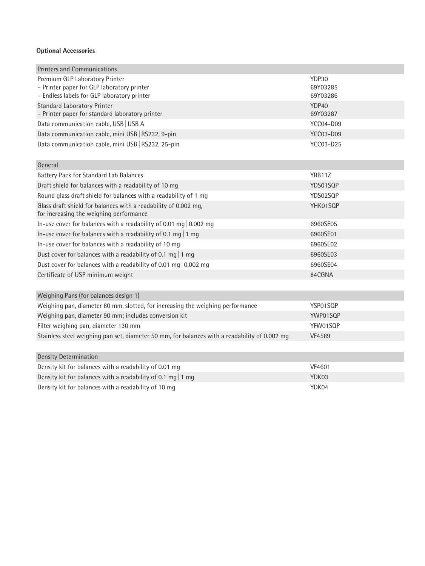### **Optional Accessories**

| <b>Printers and Communications</b>                                                                         |                   |  |  |  |  |  |
|------------------------------------------------------------------------------------------------------------|-------------------|--|--|--|--|--|
| Premium GLP Laboratory Printer<br>- Printer paper for GLP laboratory printer                               | YDP30<br>69Y03285 |  |  |  |  |  |
| - Endless labels for GLP laboratory printer                                                                | 69Y03286          |  |  |  |  |  |
| <b>Standard Laboratory Printer</b><br>- Printer paper for standard laboratory printer                      | YDP40<br>69Y03287 |  |  |  |  |  |
| Data communication cable, USB   USB A                                                                      | YCC04-D09         |  |  |  |  |  |
| Data communication cable, mini USB   RS232, 9-pin                                                          | <b>YCC03-D09</b>  |  |  |  |  |  |
| Data communication cable, mini USB   RS232, 25-pin                                                         | <b>YCC03-D25</b>  |  |  |  |  |  |
| General                                                                                                    |                   |  |  |  |  |  |
| Battery Pack for Standard Lab Balances                                                                     | YRB11Z            |  |  |  |  |  |
| Draft shield for balances with a readability of 10 mg                                                      | YDS01SQP          |  |  |  |  |  |
| Round glass draft shield for balances with a readability of 1 mg                                           | YDS02SQP          |  |  |  |  |  |
| Glass draft shield for balances with a readability of 0.002 mg,<br>for increasing the weighing performance | YHK01SQP          |  |  |  |  |  |
| In-use cover for balances with a readability of 0.01 mg   0.002 mg                                         | 6960SE05          |  |  |  |  |  |
| In-use cover for balances with a readability of 0.1 mg   1 mg                                              | 6960SE01          |  |  |  |  |  |
| In-use cover for balances with a readability of 10 mg                                                      | 6960SE02          |  |  |  |  |  |
| Dust cover for balances with a readability of 0.1 mg   1 mg                                                | 6960SE03          |  |  |  |  |  |
| Dust cover for balances with a readability of 0.01 mg $\vert$ 0.002 mg                                     | 6960SE04          |  |  |  |  |  |
| Certificate of USP minimum weight                                                                          | 84CGNA            |  |  |  |  |  |
|                                                                                                            |                   |  |  |  |  |  |
| Weighing Pans (for balances design 1)                                                                      |                   |  |  |  |  |  |
| Weighing pan, diameter 80 mm, slotted, for increasing the weighing performance                             | YSP01SQP          |  |  |  |  |  |
| Weighing pan, diameter 90 mm; includes conversion kit                                                      | YWP01SQP          |  |  |  |  |  |
| Filter weighing pan, diameter 130 mm                                                                       | YFW01SQP          |  |  |  |  |  |
| Stainless steel weighing pan set, diameter 50 mm, for balances with a readability of 0.002 mg              | <b>VF4589</b>     |  |  |  |  |  |
|                                                                                                            |                   |  |  |  |  |  |
| <b>Density Determination</b>                                                                               |                   |  |  |  |  |  |
| Density kit for balances with a readability of 0.01 mg                                                     | VF4601            |  |  |  |  |  |
| Density kit for balances with a readability of 0.1 mg   1 mg<br>YDK03                                      |                   |  |  |  |  |  |
| Density kit for balances with a readability of 10 mg                                                       | YDK04             |  |  |  |  |  |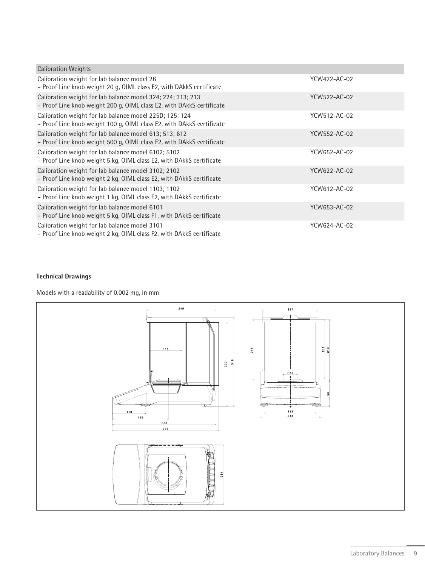| <b>Calibration Weights</b>                                                                                                           |              |
|--------------------------------------------------------------------------------------------------------------------------------------|--------------|
| Calibration weight for lab balance model 26<br>- Proof Line knob weight 20 g, OIML class E2, with DAkkS certificate                  | YCW422-AC-02 |
| Calibration weight for lab balance model 324; 224; 313; 213<br>- Proof Line knob weight 200 g, OIML class E2, with DAkkS certificate | YCW522-AC-02 |
| Calibration weight for lab balance model 225D; 125; 124<br>- Proof Line knob weight 100 g, OIML class E2, with DAkkS certificate     | YCW512-AC-02 |
| Calibration weight for lab balance model 613; 513; 612<br>- Proof Line knob weight 500 g, OIML class E2, with DAkkS certificate      | YCW552-AC-02 |
| Calibration weight for lab balance model 6102; 5102<br>- Proof Line knob weight 5 kg, OIML class E2, with DAkkS certificate          | YCW652-AC-02 |
| Calibration weight for lab balance model 3102; 2102<br>- Proof Line knob weight 2 kg, OIML class E2, with DAkkS certificate          | YCW622-AC-02 |
| Calibration weight for lab balance model 1103; 1102<br>- Proof Line knob weight 1 kg, OIML class E2, with DAkkS certificate          | YCW612-AC-02 |
| Calibration weight for lab balance model 6101<br>- Proof Line knob weight 5 kg, OIML class F1, with DAkkS certificate                | YCW653-AC-02 |
| Calibration weight for lab balance model 3101<br>- Proof Line knob weight 2 kg, OIML class F2, with DAkkS certificate                | YCW624-AC-02 |

# **Technical Drawings**

Models with a readability of 0.002 mg, in mm

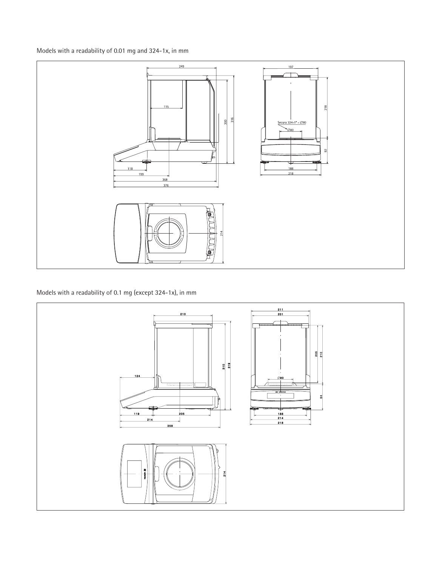Models with a readability of 0.01 mg and 324-1x, in mm



Models with a readability of 0.1 mg (except 324-1x), in mm

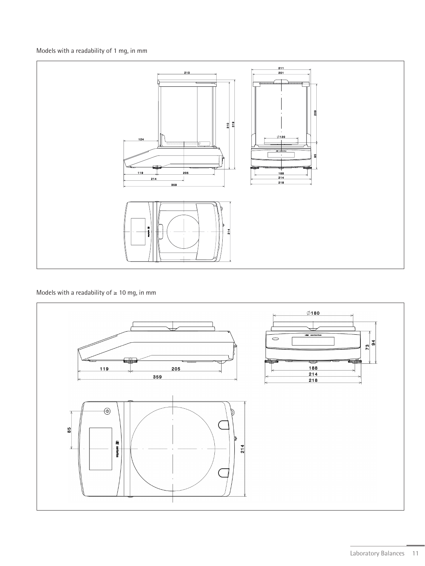Models with a readability of 1 mg, in mm



Models with a readability of  $\geq 10$  mg, in mm